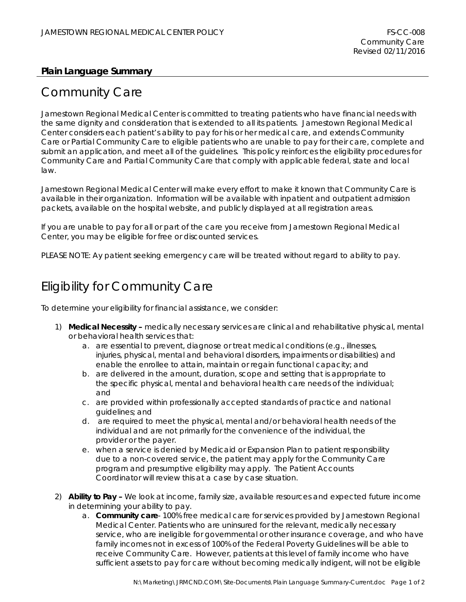### **Plain Language Summary**

# Community Care

Jamestown Regional Medical Center is committed to treating patients who have financial needs with the same dignity and consideration that is extended to all its patients. Jamestown Regional Medical Center considers each patient's ability to pay for his or her medical care, and extends Community Care or Partial Community Care to eligible patients who are unable to pay for their care, complete and submit an application, and meet all of the guidelines. This policy reinforces the eligibility procedures for Community Care and Partial Community Care that comply with applicable federal, state and local law.

Jamestown Regional Medical Center will make every effort to make it known that Community Care is available in their organization. Information will be available with inpatient and outpatient admission packets, available on the hospital website, and publicly displayed at all registration areas.

If you are unable to pay for all or part of the care you receive from Jamestown Regional Medical Center, you may be eligible for free or discounted services.

PLEASE NOTE: Ay patient seeking emergency care will be treated without regard to ability to pay.

# Eligibility for Community Care

To determine your eligibility for financial assistance, we consider:

- 1) **Medical Necessity –** medically necessary services are clinical and rehabilitative physical, mental or behavioral health services that:
	- a. are essential to prevent, diagnose or treat medical conditions (e.g., illnesses, injuries, physical, mental and behavioral disorders, impairments or disabilities) and enable the enrollee to attain, maintain or regain functional capacity; and
	- b. are delivered in the amount, duration, scope and setting that is appropriate to the specific physical, mental and behavioral health care needs of the individual; and
	- c. are provided within professionally accepted standards of practice and national guidelines; and
	- d. are required to meet the physical, mental and/or behavioral health needs of the individual and are not primarily for the convenience of the individual, the provider or the payer.
	- e. when a service is denied by Medicaid or Expansion Plan to patient responsibility due to a non-covered service, the patient may apply for the Community Care program and presumptive eligibility may apply. The Patient Accounts Coordinator will review this at a case by case situation.
- 2) **Ability to Pay –** We look at income, family size, available resources and expected future income in determining your ability to pay.
	- a. **Community care** 100% free medical care for services provided by Jamestown Regional Medical Center. Patients who are uninsured for the relevant, medically necessary service, who are ineligible for governmental or other insurance coverage, and who have family incomes not in excess of 100% of the Federal Poverty Guidelines will be able to receive Community Care. However, patients at this level of family income who have sufficient assets to pay for care without becoming medically indigent, will not be eligible